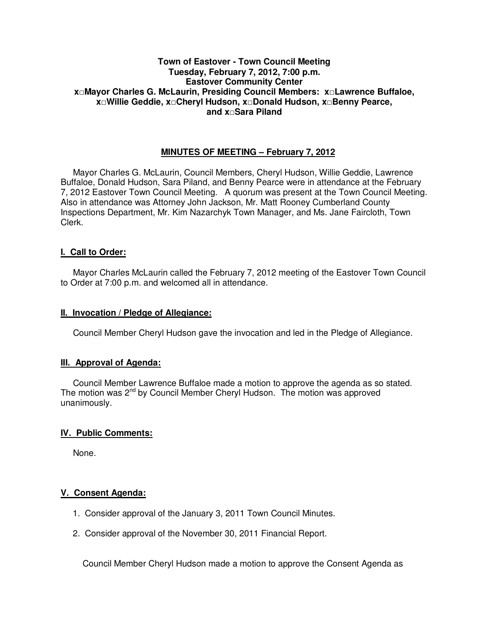# **Town of Eastover - Town Council Meeting Tuesday, February 7, 2012, 7:00 p.m. Eastover Community Center x□Mayor Charles G. McLaurin, Presiding Council Members: x□Lawrence Buffaloe, x□Willie Geddie, x□Cheryl Hudson, x□Donald Hudson, x□Benny Pearce, and x□Sara Piland**

# **MINUTES OF MEETING – February 7, 2012**

Mayor Charles G. McLaurin, Council Members, Cheryl Hudson, Willie Geddie, Lawrence Buffaloe, Donald Hudson, Sara Piland, and Benny Pearce were in attendance at the February 7, 2012 Eastover Town Council Meeting. A quorum was present at the Town Council Meeting. Also in attendance was Attorney John Jackson, Mr. Matt Rooney Cumberland County Inspections Department, Mr. Kim Nazarchyk Town Manager, and Ms. Jane Faircloth, Town Clerk.

## **I. Call to Order:**

Mayor Charles McLaurin called the February 7, 2012 meeting of the Eastover Town Council to Order at 7:00 p.m. and welcomed all in attendance.

## **II. Invocation / Pledge of Allegiance:**

Council Member Cheryl Hudson gave the invocation and led in the Pledge of Allegiance.

## **III. Approval of Agenda:**

 Council Member Lawrence Buffaloe made a motion to approve the agenda as so stated. The motion was 2<sup>nd</sup> by Council Member Cheryl Hudson. The motion was approved unanimously.

## **IV. Public Comments:**

None.

## **V. Consent Agenda:**

- 1. Consider approval of the January 3, 2011 Town Council Minutes.
- 2. Consider approval of the November 30, 2011 Financial Report.

Council Member Cheryl Hudson made a motion to approve the Consent Agenda as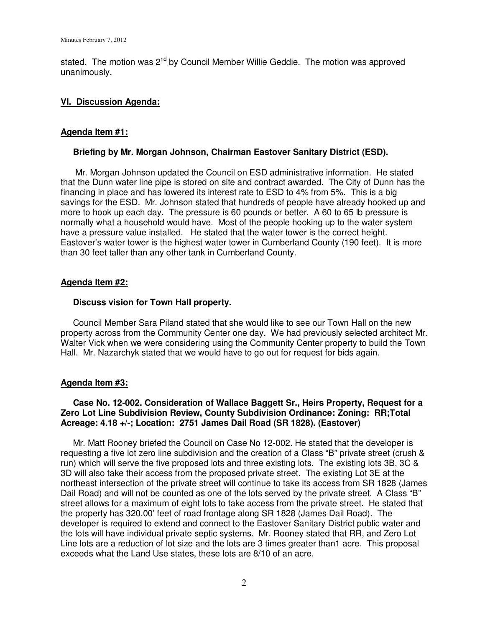stated. The motion was  $2^{nd}$  by Council Member Willie Geddie. The motion was approved unanimously.

### **VI. Discussion Agenda:**

### **Agenda Item #1:**

#### **Briefing by Mr. Morgan Johnson, Chairman Eastover Sanitary District (ESD).**

 Mr. Morgan Johnson updated the Council on ESD administrative information. He stated that the Dunn water line pipe is stored on site and contract awarded. The City of Dunn has the financing in place and has lowered its interest rate to ESD to 4% from 5%. This is a big savings for the ESD. Mr. Johnson stated that hundreds of people have already hooked up and more to hook up each day. The pressure is 60 pounds or better. A 60 to 65 lb pressure is normally what a household would have. Most of the people hooking up to the water system have a pressure value installed. He stated that the water tower is the correct height. Eastover's water tower is the highest water tower in Cumberland County (190 feet). It is more than 30 feet taller than any other tank in Cumberland County.

### **Agenda Item #2:**

### **Discuss vision for Town Hall property.**

 Council Member Sara Piland stated that she would like to see our Town Hall on the new property across from the Community Center one day. We had previously selected architect Mr. Walter Vick when we were considering using the Community Center property to build the Town Hall. Mr. Nazarchyk stated that we would have to go out for request for bids again.

#### **Agenda Item #3:**

## **Case No. 12-002. Consideration of Wallace Baggett Sr., Heirs Property, Request for a Zero Lot Line Subdivision Review, County Subdivision Ordinance: Zoning: RR;Total Acreage: 4.18 +/-; Location: 2751 James Dail Road (SR 1828). (Eastover)**

 Mr. Matt Rooney briefed the Council on Case No 12-002. He stated that the developer is requesting a five lot zero line subdivision and the creation of a Class "B" private street (crush & run) which will serve the five proposed lots and three existing lots. The existing lots 3B, 3C & 3D will also take their access from the proposed private street. The existing Lot 3E at the northeast intersection of the private street will continue to take its access from SR 1828 (James Dail Road) and will not be counted as one of the lots served by the private street. A Class "B" street allows for a maximum of eight lots to take access from the private street. He stated that the property has 320.00' feet of road frontage along SR 1828 (James Dail Road). The developer is required to extend and connect to the Eastover Sanitary District public water and the lots will have individual private septic systems. Mr. Rooney stated that RR, and Zero Lot Line lots are a reduction of lot size and the lots are 3 times greater than1 acre. This proposal exceeds what the Land Use states, these lots are 8/10 of an acre.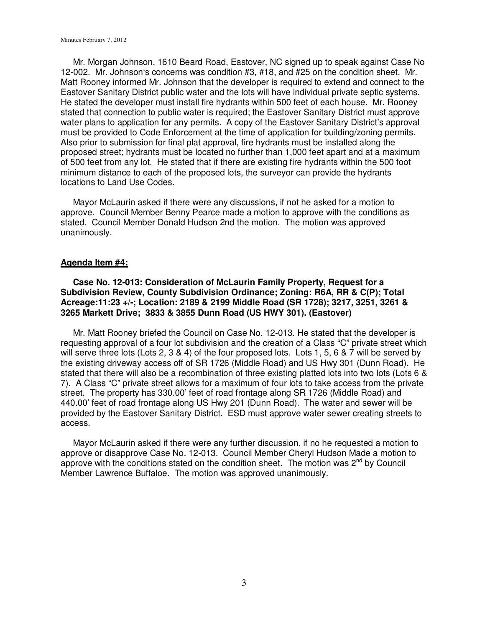Mr. Morgan Johnson, 1610 Beard Road, Eastover, NC signed up to speak against Case No 12-002. Mr. Johnson's concerns was condition #3, #18, and #25 on the condition sheet. Mr. Matt Rooney informed Mr. Johnson that the developer is required to extend and connect to the Eastover Sanitary District public water and the lots will have individual private septic systems. He stated the developer must install fire hydrants within 500 feet of each house. Mr. Rooney stated that connection to public water is required; the Eastover Sanitary District must approve water plans to application for any permits. A copy of the Eastover Sanitary District's approval must be provided to Code Enforcement at the time of application for building/zoning permits. Also prior to submission for final plat approval, fire hydrants must be installed along the proposed street; hydrants must be located no further than 1,000 feet apart and at a maximum of 500 feet from any lot. He stated that if there are existing fire hydrants within the 500 foot minimum distance to each of the proposed lots, the surveyor can provide the hydrants locations to Land Use Codes.

 Mayor McLaurin asked if there were any discussions, if not he asked for a motion to approve. Council Member Benny Pearce made a motion to approve with the conditions as stated. Council Member Donald Hudson 2nd the motion. The motion was approved unanimously.

#### **Agenda Item #4:**

 **Case No. 12-013: Consideration of McLaurin Family Property, Request for a Subdivision Review, County Subdivision Ordinance; Zoning: R6A, RR & C(P); Total Acreage:11:23 +/-; Location: 2189 & 2199 Middle Road (SR 1728); 3217, 3251, 3261 & 3265 Markett Drive; 3833 & 3855 Dunn Road (US HWY 301). (Eastover)** 

 Mr. Matt Rooney briefed the Council on Case No. 12-013. He stated that the developer is requesting approval of a four lot subdivision and the creation of a Class "C" private street which will serve three lots (Lots 2, 3 & 4) of the four proposed lots. Lots 1, 5, 6 & 7 will be served by the existing driveway access off of SR 1726 (Middle Road) and US Hwy 301 (Dunn Road). He stated that there will also be a recombination of three existing platted lots into two lots (Lots 6 & 7). A Class "C" private street allows for a maximum of four lots to take access from the private street. The property has 330.00' feet of road frontage along SR 1726 (Middle Road) and 440.00' feet of road frontage along US Hwy 201 (Dunn Road). The water and sewer will be provided by the Eastover Sanitary District. ESD must approve water sewer creating streets to access.

 Mayor McLaurin asked if there were any further discussion, if no he requested a motion to approve or disapprove Case No. 12-013. Council Member Cheryl Hudson Made a motion to approve with the conditions stated on the condition sheet. The motion was  $2^{nd}$  by Council Member Lawrence Buffaloe. The motion was approved unanimously.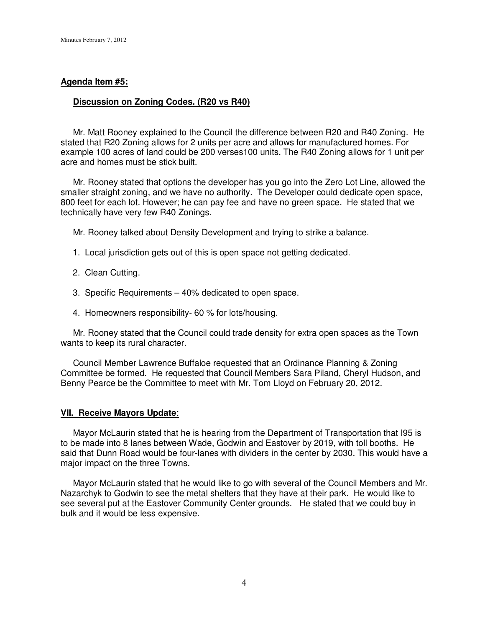#### **Agenda Item #5:**

#### **Discussion on Zoning Codes. (R20 vs R40)**

 Mr. Matt Rooney explained to the Council the difference between R20 and R40 Zoning. He stated that R20 Zoning allows for 2 units per acre and allows for manufactured homes. For example 100 acres of land could be 200 verses100 units. The R40 Zoning allows for 1 unit per acre and homes must be stick built.

 Mr. Rooney stated that options the developer has you go into the Zero Lot Line, allowed the smaller straight zoning, and we have no authority. The Developer could dedicate open space, 800 feet for each lot. However; he can pay fee and have no green space. He stated that we technically have very few R40 Zonings.

Mr. Rooney talked about Density Development and trying to strike a balance.

- 1. Local jurisdiction gets out of this is open space not getting dedicated.
- 2. Clean Cutting.
- 3. Specific Requirements 40% dedicated to open space.
- 4. Homeowners responsibility- 60 % for lots/housing.

 Mr. Rooney stated that the Council could trade density for extra open spaces as the Town wants to keep its rural character.

 Council Member Lawrence Buffaloe requested that an Ordinance Planning & Zoning Committee be formed. He requested that Council Members Sara Piland, Cheryl Hudson, and Benny Pearce be the Committee to meet with Mr. Tom Lloyd on February 20, 2012.

#### **VII. Receive Mayors Update**:

 Mayor McLaurin stated that he is hearing from the Department of Transportation that I95 is to be made into 8 lanes between Wade, Godwin and Eastover by 2019, with toll booths. He said that Dunn Road would be four-lanes with dividers in the center by 2030. This would have a major impact on the three Towns.

 Mayor McLaurin stated that he would like to go with several of the Council Members and Mr. Nazarchyk to Godwin to see the metal shelters that they have at their park. He would like to see several put at the Eastover Community Center grounds. He stated that we could buy in bulk and it would be less expensive.